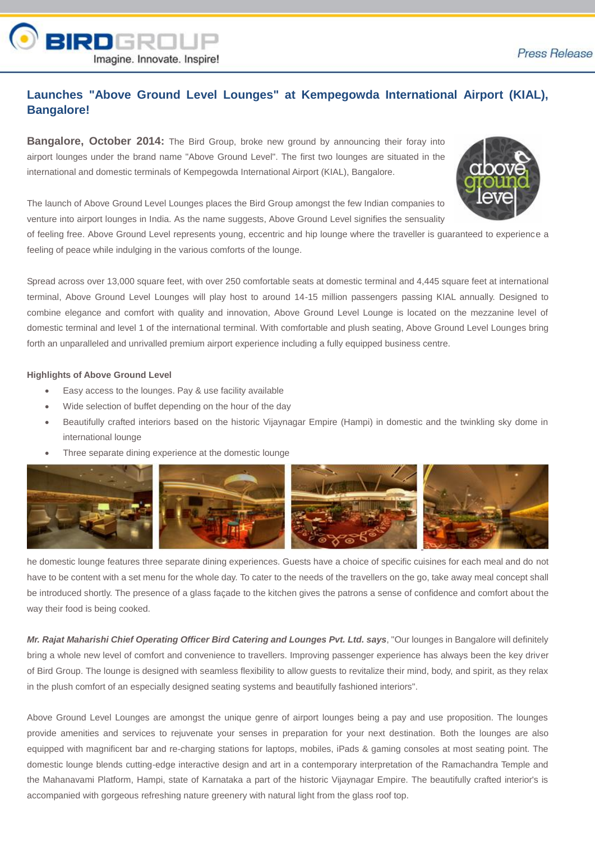

## **Launches "Above Ground Level Lounges" at Kempegowda International Airport (KIAL), Bangalore!**

**Bangalore, October 2014:** The Bird Group, broke new ground by announcing their foray into airport lounges under the brand name "Above Ground Level". The first two lounges are situated in the international and domestic terminals of Kempegowda International Airport (KIAL), Bangalore.



The launch of Above Ground Level Lounges places the Bird Group amongst the few Indian companies to venture into airport lounges in India. As the name suggests, Above Ground Level signifies the sensuality

of feeling free. Above Ground Level represents young, eccentric and hip lounge where the traveller is guaranteed to experience a feeling of peace while indulging in the various comforts of the lounge.

Spread across over 13,000 square feet, with over 250 comfortable seats at domestic terminal and 4,445 square feet at international terminal, Above Ground Level Lounges will play host to around 14-15 million passengers passing KIAL annually. Designed to combine elegance and comfort with quality and innovation, Above Ground Level Lounge is located on the mezzanine level of domestic terminal and level 1 of the international terminal. With comfortable and plush seating, Above Ground Level Lounges bring forth an unparalleled and unrivalled premium airport experience including a fully equipped business centre.

## **Highlights of Above Ground Level**

- Easy access to the lounges. Pay & use facility available
- Wide selection of buffet depending on the hour of the day
- Beautifully crafted interiors based on the historic Vijaynagar Empire (Hampi) in domestic and the twinkling sky dome in international lounge
- Three separate dining experience at the domestic lounge



he domestic lounge features three separate dining experiences. Guests have a choice of specific cuisines for each meal and do not have to be content with a set menu for the whole day. To cater to the needs of the travellers on the go, take away meal concept shall be introduced shortly. The presence of a glass façade to the kitchen gives the patrons a sense of confidence and comfort about the way their food is being cooked.

*Mr. Rajat Maharishi Chief Operating Officer Bird Catering and Lounges Pvt. Ltd. says*, "Our lounges in Bangalore will definitely bring a whole new level of comfort and convenience to travellers. Improving passenger experience has always been the key driver of Bird Group. The lounge is designed with seamless flexibility to allow guests to revitalize their mind, body, and spirit, as they relax in the plush comfort of an especially designed seating systems and beautifully fashioned interiors".

Above Ground Level Lounges are amongst the unique genre of airport lounges being a pay and use proposition. The lounges provide amenities and services to rejuvenate your senses in preparation for your next destination. Both the lounges are also equipped with magnificent bar and re-charging stations for laptops, mobiles, iPads & gaming consoles at most seating point. The domestic lounge blends cutting-edge interactive design and art in a contemporary interpretation of the Ramachandra Temple and the Mahanavami Platform, Hampi, state of Karnataka a part of the historic Vijaynagar Empire. The beautifully crafted interior's is accompanied with gorgeous refreshing nature greenery with natural light from the glass roof top.